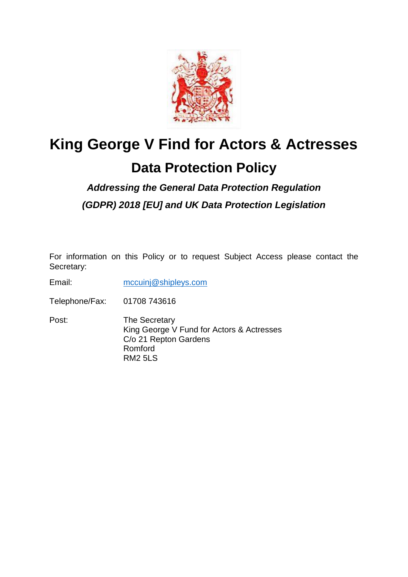

# **King George V Find for Actors & Actresses**

## **Data Protection Policy**

### *Addressing the General Data Protection Regulation (GDPR) 2018 [EU] and UK Data Protection Legislation*

For information on this Policy or to request Subject Access please contact the Secretary:

Email: [mccuinj@shipleys.com](mailto:mccuinj@shipleys.com)

Telephone/Fax: 01708 743616

Post: The Secretary King George V Fund for Actors & Actresses C/o 21 Repton Gardens Romford RM2 5LS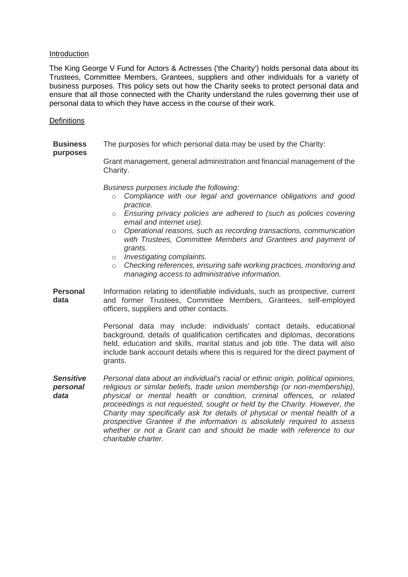#### Introduction

The King George V Fund for Actors & Actresses ('the Charity') holds personal data about its Trustees, Committee Members, Grantees, suppliers and other individuals for a variety of business purposes. This policy sets out how the Charity seeks to protect personal data and ensure that all those connected with the Charity understand the rules governing their use of personal data to which they have access in the course of their work.

#### **Definitions**

**purposes**

**Business**  The purposes for which personal data may be used by the Charity:

> Grant management, general administration and financial management of the Charity.

*Business purposes include the following:*

- o *Compliance with our legal and governance obligations and good practice.*
- o *Ensuring privacy policies are adhered to (such as policies covering email and internet use).*
- o *Operational reasons, such as recording transactions, communication with Trustees, Committee Members and Grantees and payment of grants.*
- o *Investigating complaints.*
- o *Checking references, ensuring safe working practices, monitoring and managing access to administrative information.*
- **Personal data** Information relating to identifiable individuals, such as prospective, current and former Trustees, Committee Members, Grantees, self-employed officers, suppliers and other contacts.

Personal data may include: individuals' contact details, educational background, details of qualification certificates and diplomas, decorations held, education and skills, marital status and job title. The data will also include bank account details where this is required for the direct payment of grants.

*Sensitive personal data Personal data about an individual's racial or ethnic origin, political opinions, religious or similar beliefs, trade union membership (or non-membership), physical or mental health or condition, criminal offences, or related proceedings is not requested, sought or held by the Charity. However, the Charity may specifically ask for details of physical or mental health of a prospective Grantee if the information is absolutely required to assess whether or not a Grant can and should be made with reference to our charitable charter.*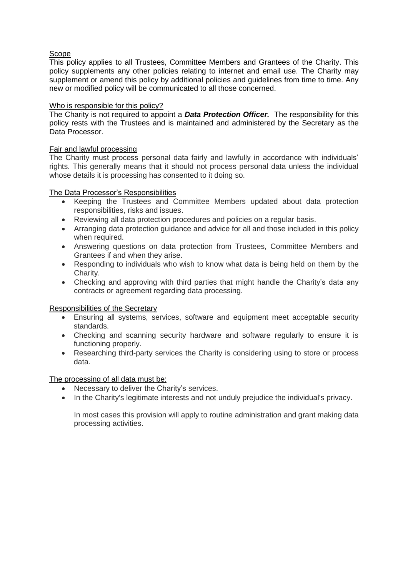#### Scope

This policy applies to all Trustees, Committee Members and Grantees of the Charity. This policy supplements any other policies relating to internet and email use. The Charity may supplement or amend this policy by additional policies and quidelines from time to time. Any new or modified policy will be communicated to all those concerned.

#### Who is responsible for this policy?

The Charity is not required to appoint a *Data Protection Officer.* The responsibility for this policy rests with the Trustees and is maintained and administered by the Secretary as the Data Processor.

#### Fair and lawful processing

The Charity must process personal data fairly and lawfully in accordance with individuals' rights. This generally means that it should not process personal data unless the individual whose details it is processing has consented to it doing so.

#### The Data Processor's Responsibilities

- Keeping the Trustees and Committee Members updated about data protection responsibilities, risks and issues.
- Reviewing all data protection procedures and policies on a regular basis.
- Arranging data protection guidance and advice for all and those included in this policy when required.
- Answering questions on data protection from Trustees, Committee Members and Grantees if and when they arise.
- Responding to individuals who wish to know what data is being held on them by the Charity.
- Checking and approving with third parties that might handle the Charity's data any contracts or agreement regarding data processing.

#### Responsibilities of the Secretary

- Ensuring all systems, services, software and equipment meet acceptable security standards.
- Checking and scanning security hardware and software regularly to ensure it is functioning properly.
- Researching third-party services the Charity is considering using to store or process data.

#### The processing of all data must be:

- Necessary to deliver the Charity's services.
- In the Charity's legitimate interests and not unduly prejudice the individual's privacy.

In most cases this provision will apply to routine administration and grant making data processing activities.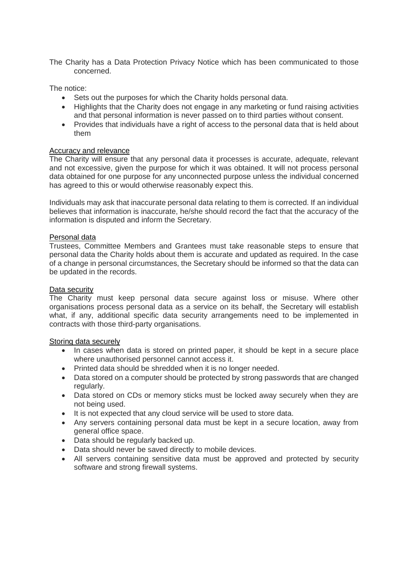The Charity has a Data Protection Privacy Notice which has been communicated to those concerned.

The notice:

- Sets out the purposes for which the Charity holds personal data.
- Highlights that the Charity does not engage in any marketing or fund raising activities and that personal information is never passed on to third parties without consent.
- Provides that individuals have a right of access to the personal data that is held about them

#### Accuracy and relevance

The Charity will ensure that any personal data it processes is accurate, adequate, relevant and not excessive, given the purpose for which it was obtained. It will not process personal data obtained for one purpose for any unconnected purpose unless the individual concerned has agreed to this or would otherwise reasonably expect this.

Individuals may ask that inaccurate personal data relating to them is corrected. If an individual believes that information is inaccurate, he/she should record the fact that the accuracy of the information is disputed and inform the Secretary.

#### Personal data

Trustees, Committee Members and Grantees must take reasonable steps to ensure that personal data the Charity holds about them is accurate and updated as required. In the case of a change in personal circumstances, the Secretary should be informed so that the data can be updated in the records.

#### Data security

The Charity must keep personal data secure against loss or misuse. Where other organisations process personal data as a service on its behalf, the Secretary will establish what, if any, additional specific data security arrangements need to be implemented in contracts with those third-party organisations.

#### Storing data securely

- In cases when data is stored on printed paper, it should be kept in a secure place where unauthorised personnel cannot access it.
- Printed data should be shredded when it is no longer needed.
- Data stored on a computer should be protected by strong passwords that are changed regularly.
- Data stored on CDs or memory sticks must be locked away securely when they are not being used.
- It is not expected that any cloud service will be used to store data.
- Any servers containing personal data must be kept in a secure location, away from general office space.
- Data should be regularly backed up.
- Data should never be saved directly to mobile devices.
- All servers containing sensitive data must be approved and protected by security software and strong firewall systems.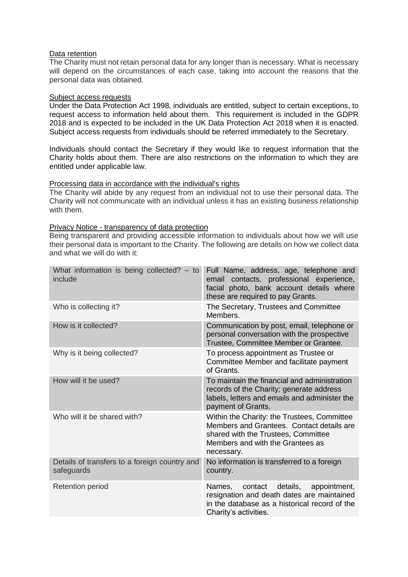#### Data retention

The Charity must not retain personal data for any longer than is necessary. What is necessary will depend on the circumstances of each case, taking into account the reasons that the personal data was obtained.

#### Subject access requests

Under the Data Protection Act 1998, individuals are entitled, subject to certain exceptions, to request access to information held about them. This requirement is included in the GDPR 2018 and is expected to be included in the UK Data Protection Act 2018 when it is enacted. Subject access requests from individuals should be referred immediately to the Secretary.

Individuals should contact the Secretary if they would like to request information that the Charity holds about them. There are also restrictions on the information to which they are entitled under applicable law.

#### Processing data in accordance with the individual's rights

The Charity will abide by any request from an individual not to use their personal data. The Charity will not communicate with an individual unless it has an existing business relationship with them.

#### Privacy Notice - transparency of data protection

Being transparent and providing accessible information to individuals about how we will use their personal data is important to the Charity. The following are details on how we collect data and what we will do with it:

| What information is being collected? $-$ to<br>include      | Full Name, address, age, telephone and<br>email contacts, professional experience,<br>facial photo, bank account details where<br>these are required to pay Grants.               |
|-------------------------------------------------------------|-----------------------------------------------------------------------------------------------------------------------------------------------------------------------------------|
| Who is collecting it?                                       | The Secretary, Trustees and Committee<br>Members.                                                                                                                                 |
| How is it collected?                                        | Communication by post, email, telephone or<br>personal conversation with the prospective<br>Trustee, Committee Member or Grantee.                                                 |
| Why is it being collected?                                  | To process appointment as Trustee or<br>Committee Member and facilitate payment<br>of Grants.                                                                                     |
| How will it be used?                                        | To maintain the financial and administration<br>records of the Charity; generate address<br>labels, letters and emails and administer the<br>payment of Grants.                   |
| Who will it be shared with?                                 | Within the Charity: the Trustees, Committee<br>Members and Grantees. Contact details are<br>shared with the Trustees, Committee<br>Members and with the Grantees as<br>necessary. |
| Details of transfers to a foreign country and<br>safeguards | No information is transferred to a foreign<br>country.                                                                                                                            |
| <b>Retention period</b>                                     | appointment,<br>Names,<br>contact<br>details,<br>resignation and death dates are maintained<br>in the database as a historical record of the<br>Charity's activities.             |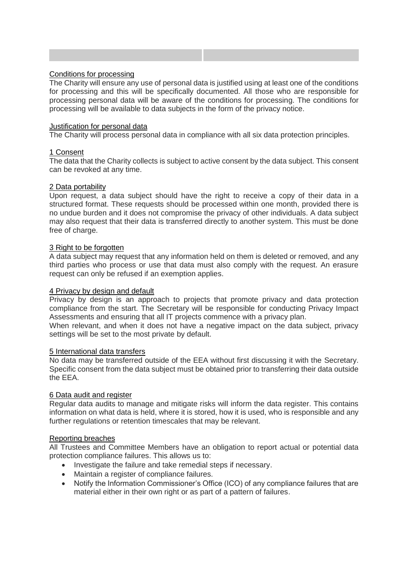#### Conditions for processing

The Charity will ensure any use of personal data is justified using at least one of the conditions for processing and this will be specifically documented. All those who are responsible for processing personal data will be aware of the conditions for processing. The conditions for processing will be available to data subjects in the form of the privacy notice.

#### **Justification for personal data**

The Charity will process personal data in compliance with all six data protection principles.

#### 1 Consent

The data that the Charity collects is subject to active consent by the data subject. This consent can be revoked at any time.

#### 2 Data portability

Upon request, a data subject should have the right to receive a copy of their data in a structured format. These requests should be processed within one month, provided there is no undue burden and it does not compromise the privacy of other individuals. A data subject may also request that their data is transferred directly to another system. This must be done free of charge.

#### 3 Right to be forgotten

A data subject may request that any information held on them is deleted or removed, and any third parties who process or use that data must also comply with the request. An erasure request can only be refused if an exemption applies.

#### 4 Privacy by design and default

Privacy by design is an approach to projects that promote privacy and data protection compliance from the start. The Secretary will be responsible for conducting Privacy Impact Assessments and ensuring that all IT projects commence with a privacy plan.

When relevant, and when it does not have a negative impact on the data subject, privacy settings will be set to the most private by default.

#### 5 International data transfers

No data may be transferred outside of the EEA without first discussing it with the Secretary. Specific consent from the data subject must be obtained prior to transferring their data outside the EEA.

#### 6 Data audit and register

Regular data audits to manage and mitigate risks will inform the data register. This contains information on what data is held, where it is stored, how it is used, who is responsible and any further regulations or retention timescales that may be relevant.

#### Reporting breaches

All Trustees and Committee Members have an obligation to report actual or potential data protection compliance failures. This allows us to:

- Investigate the failure and take remedial steps if necessary.
- Maintain a register of compliance failures.
- Notify the Information Commissioner's Office (ICO) of any compliance failures that are material either in their own right or as part of a pattern of failures.